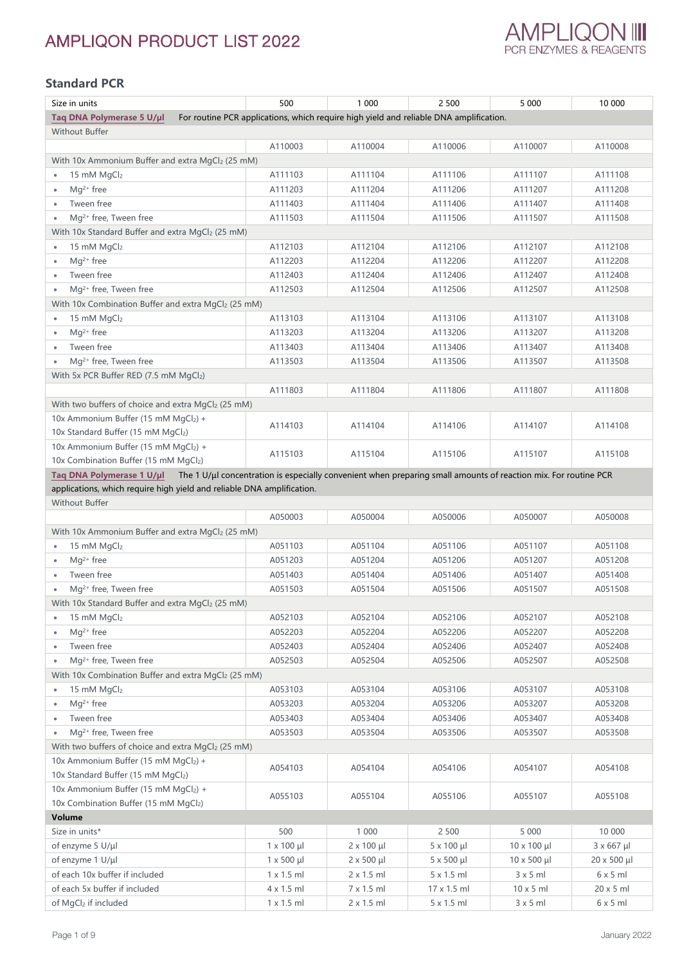

## **Standard PCR**

| Size in units                                                          | 500                | 1 000                | 2 500                                                                                                           | 5 0 0 0             | 10 000             |
|------------------------------------------------------------------------|--------------------|----------------------|-----------------------------------------------------------------------------------------------------------------|---------------------|--------------------|
| Taq DNA Polymerase 5 U/µl                                              |                    |                      | For routine PCR applications, which require high yield and reliable DNA amplification.                          |                     |                    |
| Without Buffer                                                         |                    |                      |                                                                                                                 |                     |                    |
|                                                                        | A110003            | A110004              | A110006                                                                                                         | A110007             | A110008            |
| With 10x Ammonium Buffer and extra MgCl2 (25 mM)                       |                    |                      |                                                                                                                 |                     |                    |
| 15 mM MgCl2<br>٠                                                       | A111103            | A111104              | A111106                                                                                                         | A111107             | A111108            |
| $Mg^{2+}$ free<br>$\bullet$                                            | A111203            | A111204              | A111206                                                                                                         | A111207             | A111208            |
| Tween free<br>٠                                                        | A111403            | A111404              | A111406                                                                                                         | A111407             | A111408            |
| Mg <sup>2+</sup> free, Tween free                                      | A111503            | A111504              | A111506                                                                                                         | A111507             | A111508            |
| With 10x Standard Buffer and extra MgCl2 (25 mM)                       |                    |                      |                                                                                                                 |                     |                    |
| 15 mM MgCl2                                                            | A112103            | A112104              | A112106                                                                                                         | A112107             | A112108            |
| $Mg^{2+}$ free<br>٠                                                    | A112203            | A112204              | A112206                                                                                                         | A112207             | A112208            |
| Tween free<br>$\bullet$                                                | A112403            | A112404              | A112406                                                                                                         | A112407             | A112408            |
| Mg <sup>2+</sup> free, Tween free                                      | A112503            | A112504              | A112506                                                                                                         | A112507             | A112508            |
| With 10x Combination Buffer and extra MgCl2 (25 mM)                    |                    |                      |                                                                                                                 |                     |                    |
| 15 mM MgCl2<br>$\bullet$                                               | A113103            | A113104              | A113106                                                                                                         | A113107             | A113108            |
| $Mg^{2+}$ free<br>۰                                                    | A113203            | A113204              | A113206                                                                                                         | A113207             | A113208            |
| Tween free<br>$\bullet$                                                | A113403            | A113404              | A113406                                                                                                         | A113407             | A113408            |
| Mg <sup>2+</sup> free, Tween free<br>$\bullet$                         | A113503            | A113504              | A113506                                                                                                         | A113507             | A113508            |
| With 5x PCR Buffer RED (7.5 mM MgCl2)                                  |                    |                      |                                                                                                                 |                     |                    |
|                                                                        | A111803            | A111804              | A111806                                                                                                         | A111807             | A111808            |
| With two buffers of choice and extra MgCl2 (25 mM)                     |                    |                      |                                                                                                                 |                     |                    |
| 10x Ammonium Buffer (15 mM MgCl2) +                                    | A114103            | A114104              | A114106                                                                                                         | A114107             | A114108            |
| 10x Standard Buffer (15 mM MgCl2)                                      |                    |                      |                                                                                                                 |                     |                    |
| 10x Ammonium Buffer (15 mM MgCl2) +                                    | A115103            | A115104              | A115106                                                                                                         | A115107             | A115108            |
| 10x Combination Buffer (15 mM MgCl2)                                   |                    |                      |                                                                                                                 |                     |                    |
| Taq DNA Polymerase 1 U/µl                                              |                    |                      | The 1 U/µl concentration is especially convenient when preparing small amounts of reaction mix. For routine PCR |                     |                    |
| applications, which require high yield and reliable DNA amplification. |                    |                      |                                                                                                                 |                     |                    |
| Without Buffer                                                         |                    |                      |                                                                                                                 |                     |                    |
|                                                                        | A050003            | A050004              | A050006                                                                                                         | A050007             | A050008            |
| With 10x Ammonium Buffer and extra MgCl2 (25 mM)                       |                    |                      |                                                                                                                 |                     |                    |
| 15 mM MgCl2<br>$\bullet$                                               | A051103            | A051104              | A051106                                                                                                         | A051107             | A051108            |
| Mg <sup>2+</sup> free<br>$\bullet$                                     | A051203            | A051204              | A051206                                                                                                         | A051207             | A051208            |
| Tween free<br>$\bullet$                                                | A051403            | A051404              | A051406                                                                                                         | A051407             | A051408            |
| Mg <sup>2+</sup> free, Tween free                                      | A051503            | A051504              | A051506                                                                                                         | A051507             | A051508            |
| With 10x Standard Buffer and extra MgCl2 (25 mM)                       |                    |                      |                                                                                                                 |                     |                    |
| 15 mM MgCl2                                                            | A052103            | A052104              | A052106                                                                                                         | A052107             | A052108            |
| Mg <sup>2+</sup> free                                                  | A052203            | A052204              | A052206                                                                                                         | A052207             | A052208            |
| Tween free<br>$\bullet$                                                | A052403            | A052404              | A052406                                                                                                         | A052407             | A052408            |
| Mq <sup>2+</sup> free, Tween free                                      | A052503            | A052504              | A052506                                                                                                         | A052507             | A052508            |
| With 10x Combination Buffer and extra MgCl2 (25 mM)                    |                    |                      |                                                                                                                 |                     |                    |
| 15 mM MgCl2<br>۰                                                       | A053103            | A053104              | A053106                                                                                                         | A053107             | A053108            |
| $Mq^{2+}$ free                                                         | A053203            | A053204              | A053206                                                                                                         | A053207             | A053208            |
| Tween free<br>٠                                                        | A053403            | A053404              | A053406                                                                                                         | A053407             | A053408            |
| Mq <sup>2+</sup> free, Tween free                                      | A053503            | A053504              | A053506                                                                                                         | A053507             | A053508            |
| With two buffers of choice and extra MgCl2 (25 mM)                     |                    |                      |                                                                                                                 |                     |                    |
| 10x Ammonium Buffer (15 mM MgCl2) +                                    | A054103            | A054104              | A054106                                                                                                         | A054107             | A054108            |
| 10x Standard Buffer (15 mM MgCl2)                                      |                    |                      |                                                                                                                 |                     |                    |
| 10x Ammonium Buffer (15 mM MgCl2) +                                    | A055103            | A055104              | A055106                                                                                                         | A055107             | A055108            |
| 10x Combination Buffer (15 mM MgCl2)                                   |                    |                      |                                                                                                                 |                     |                    |
| Volume                                                                 |                    |                      |                                                                                                                 |                     |                    |
| Size in units*                                                         | 500                | 1 0 0 0              | 2 500                                                                                                           | 5 0 0 0             | 10 000             |
| of enzyme 5 U/µl                                                       | $1 \times 100 \mu$ | $2 \times 100 \mu$   | 5 x 100 µl                                                                                                      | $10 \times 100 \mu$ | $3 \times 667$ µl  |
| of enzyme 1 U/µl                                                       | $1 \times 500$ µl  | $2 \times 500 \mu l$ | $5 \times 500 \mu l$                                                                                            | $10 \times 500$ µl  | $20 \times 500$ µl |
| of each 10x buffer if included                                         | $1 \times 1.5$ ml  | $2 \times 1.5$ ml    | 5 x 1.5 ml                                                                                                      | $3 \times 5$ ml     | 6x5ml              |
| of each 5x buffer if included                                          | 4 x 1.5 ml         | 7 x 1.5 ml           | 17 x 1.5 ml                                                                                                     | $10 \times 5$ ml    | $20 \times 5$ ml   |
| of MgCl2 if included                                                   | $1 \times 1.5$ ml  | $2 \times 1.5$ ml    | 5 x 1.5 ml                                                                                                      | 3x5ml               | 6x5ml              |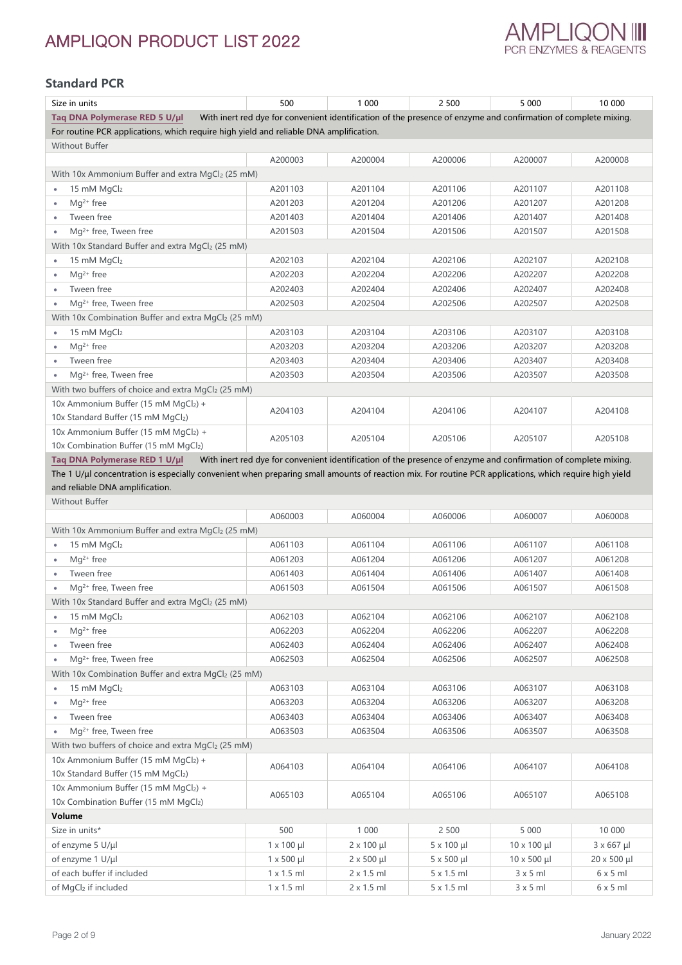

### **Standard PCR**

| Size in units                                                                                                                                          | 500                  | 1 000                | 2 500                | 5 0 0 0                                                                                                         | 10 000             |
|--------------------------------------------------------------------------------------------------------------------------------------------------------|----------------------|----------------------|----------------------|-----------------------------------------------------------------------------------------------------------------|--------------------|
| Taq DNA Polymerase RED 5 U/µl                                                                                                                          |                      |                      |                      | With inert red dye for convenient identification of the presence of enzyme and confirmation of complete mixing. |                    |
| For routine PCR applications, which require high yield and reliable DNA amplification.                                                                 |                      |                      |                      |                                                                                                                 |                    |
| Without Buffer                                                                                                                                         |                      |                      |                      |                                                                                                                 |                    |
|                                                                                                                                                        | A200003              | A200004              | A200006              | A200007                                                                                                         | A200008            |
| With 10x Ammonium Buffer and extra MgCl2 (25 mM)                                                                                                       |                      |                      |                      |                                                                                                                 |                    |
| 15 mM MgCl2<br>$\bullet$                                                                                                                               | A201103              | A201104              | A201106              | A201107                                                                                                         | A201108            |
| $Mg^{2+}$ free<br>$\bullet$                                                                                                                            | A201203              | A201204              | A201206              | A201207                                                                                                         | A201208            |
| Tween free<br>٠                                                                                                                                        | A201403              | A201404              | A201406              | A201407                                                                                                         | A201408            |
| Mg <sup>2+</sup> free, Tween free<br>٠                                                                                                                 | A201503              | A201504              | A201506              | A201507                                                                                                         | A201508            |
| With 10x Standard Buffer and extra MgCl2 (25 mM)                                                                                                       |                      |                      |                      |                                                                                                                 |                    |
| 15 mM MgCl2<br>٠                                                                                                                                       | A202103              | A202104              | A202106              | A202107                                                                                                         | A202108            |
| $Mg^{2+}$ free<br>٠                                                                                                                                    | A202203              | A202204              | A202206              | A202207                                                                                                         | A202208            |
| Tween free<br>$\bullet$                                                                                                                                | A202403              | A202404              | A202406              | A202407                                                                                                         | A202408            |
| Mg <sup>2+</sup> free, Tween free                                                                                                                      | A202503              | A202504              | A202506              | A202507                                                                                                         | A202508            |
| With 10x Combination Buffer and extra MgCl2 (25 mM)                                                                                                    |                      |                      |                      |                                                                                                                 |                    |
| 15 mM MgCl2                                                                                                                                            | A203103              | A203104              | A203106              | A203107                                                                                                         | A203108            |
| $Mq^{2+}$ free                                                                                                                                         | A203203              | A203204              | A203206              | A203207                                                                                                         | A203208            |
| Tween free<br>٠                                                                                                                                        | A203403              | A203404              | A203406              | A203407                                                                                                         | A203408            |
| Mg <sup>2+</sup> free, Tween free                                                                                                                      | A203503              | A203504              | A203506              | A203507                                                                                                         | A203508            |
| With two buffers of choice and extra MgCl2 (25 mM)                                                                                                     |                      |                      |                      |                                                                                                                 |                    |
| 10x Ammonium Buffer (15 mM MgCl2) +                                                                                                                    |                      |                      |                      |                                                                                                                 |                    |
| 10x Standard Buffer (15 mM MgCl2)                                                                                                                      | A204103              | A204104              | A204106              | A204107                                                                                                         | A204108            |
| 10x Ammonium Buffer (15 mM MgCl2) +                                                                                                                    |                      |                      |                      |                                                                                                                 |                    |
| 10x Combination Buffer (15 mM MgCl2)                                                                                                                   | A205103              | A205104              | A205106              | A205107                                                                                                         | A205108            |
| Taq DNA Polymerase RED 1 U/µl                                                                                                                          |                      |                      |                      | With inert red dye for convenient identification of the presence of enzyme and confirmation of complete mixing. |                    |
| The 1 U/µl concentration is especially convenient when preparing small amounts of reaction mix. For routine PCR applications, which require high yield |                      |                      |                      |                                                                                                                 |                    |
| and reliable DNA amplification.                                                                                                                        |                      |                      |                      |                                                                                                                 |                    |
| Without Buffer                                                                                                                                         |                      |                      |                      |                                                                                                                 |                    |
|                                                                                                                                                        | A060003              | A060004              | A060006              | A060007                                                                                                         | A060008            |
| With 10x Ammonium Buffer and extra MgCl2 (25 mM)                                                                                                       |                      |                      |                      |                                                                                                                 |                    |
| 15 mM MgCl2                                                                                                                                            | A061103              | A061104              | A061106              | A061107                                                                                                         | A061108            |
| $Mg^{2+}$ free                                                                                                                                         | A061203              | A061204              | A061206              | A061207                                                                                                         | A061208            |
| Tween free                                                                                                                                             | A061403              | A061404              | A061406              | A061407                                                                                                         | A061408            |
| Mg <sup>2+</sup> free, Tween free                                                                                                                      | A061503              | A061504              | A061506              | A061507                                                                                                         | A061508            |
| With 10x Standard Buffer and extra MgCl2 (25 mM)                                                                                                       |                      |                      |                      |                                                                                                                 |                    |
| 15 mM MgCl2<br>٠                                                                                                                                       | A062103              | A062104              | A062106              | A062107                                                                                                         | A062108            |
| $Mq^{2+}$ free<br>$\bullet$                                                                                                                            | A062203              | A062204              | A062206              | A062207                                                                                                         | A062208            |
| Tween free<br>$\bullet$                                                                                                                                | A062403              | A062404              | A062406              | A062407                                                                                                         | A062408            |
| Mq <sup>2+</sup> free, Tween free<br>٠                                                                                                                 | A062503              | A062504              | A062506              | A062507                                                                                                         | A062508            |
| With 10x Combination Buffer and extra MgCl2 (25 mM)                                                                                                    |                      |                      |                      |                                                                                                                 |                    |
| 15 mM MgCl2<br>$\bullet$                                                                                                                               | A063103              | A063104              | A063106              | A063107                                                                                                         | A063108            |
| $Mq^{2+}$ free<br>$\bullet$                                                                                                                            | A063203              | A063204              | A063206              | A063207                                                                                                         | A063208            |
| Tween free                                                                                                                                             | A063403              | A063404              | A063406              | A063407                                                                                                         | A063408            |
| Mq <sup>2+</sup> free, Tween free                                                                                                                      | A063503              | A063504              | A063506              | A063507                                                                                                         | A063508            |
| With two buffers of choice and extra MgCl2 (25 mM)                                                                                                     |                      |                      |                      |                                                                                                                 |                    |
| 10x Ammonium Buffer (15 mM MgCl2) +                                                                                                                    |                      |                      |                      |                                                                                                                 |                    |
| 10x Standard Buffer (15 mM MgCl2)                                                                                                                      | A064103              | A064104              | A064106              | A064107                                                                                                         | A064108            |
| 10x Ammonium Buffer (15 mM MgCl2) +                                                                                                                    |                      |                      |                      |                                                                                                                 |                    |
| 10x Combination Buffer (15 mM MgCl2)                                                                                                                   | A065103              | A065104              | A065106              | A065107                                                                                                         | A065108            |
| Volume                                                                                                                                                 |                      |                      |                      |                                                                                                                 |                    |
| Size in units*                                                                                                                                         | 500                  | 1 0 0 0              | 2 5 0 0              | 5 0 0 0                                                                                                         | 10 000             |
| of enzyme 5 U/µl                                                                                                                                       | $1 \times 100 \mu$   | $2 \times 100 \mu l$ | 5 x 100 µl           | $10 \times 100 \mu$                                                                                             | $3 \times 667$ µl  |
| of enzyme 1 U/µl                                                                                                                                       | $1 \times 500 \mu l$ | $2 \times 500 \mu l$ | $5 \times 500 \mu l$ | $10 \times 500 \mu l$                                                                                           | $20 \times 500$ µl |
| of each buffer if included                                                                                                                             | $1 \times 1.5$ ml    | $2 \times 1.5$ ml    | $5 \times 1.5$ ml    | $3 \times 5$ ml                                                                                                 | $6 \times 5$ ml    |
| of MgCl2 if included                                                                                                                                   | $1 \times 1.5$ ml    | 2 x 1.5 ml           | 5 x 1.5 ml           | $3 \times 5$ ml                                                                                                 | $6 \times 5$ ml    |
|                                                                                                                                                        |                      |                      |                      |                                                                                                                 |                    |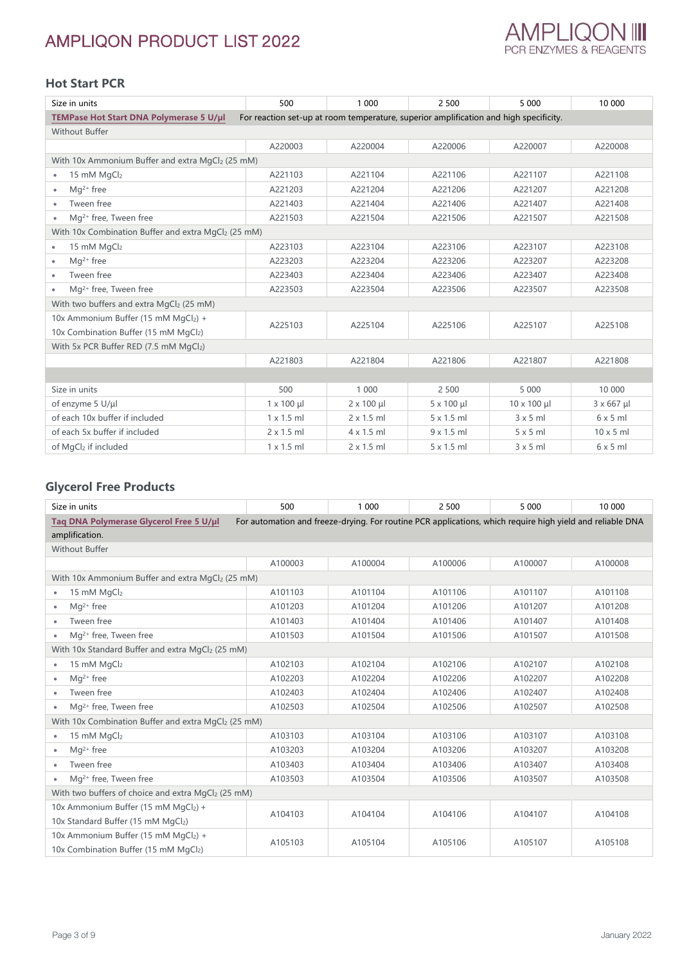

## **Hot Start PCR**

| Size in units                                                                            | 500                | 1 000             | 2 500                                                                                 | 5 0 0 0            | 10 000            |
|------------------------------------------------------------------------------------------|--------------------|-------------------|---------------------------------------------------------------------------------------|--------------------|-------------------|
| TEMPase Hot Start DNA Polymerase 5 U/µl                                                  |                    |                   | For reaction set-up at room temperature, superior amplification and high specificity. |                    |                   |
| <b>Without Buffer</b>                                                                    |                    |                   |                                                                                       |                    |                   |
|                                                                                          | A220003            | A220004           | A220006                                                                               | A220007            | A220008           |
| With 10x Ammonium Buffer and extra MgCl2 (25 mM)                                         |                    |                   |                                                                                       |                    |                   |
| 15 mM $MqCl2$<br>$\bullet$                                                               | A221103            | A221104           | A221106                                                                               | A221107            | A221108           |
| $Mq^{2+}$ free                                                                           | A221203            | A221204           | A221206                                                                               | A221207            | A221208           |
| Tween free                                                                               | A221403            | A221404           | A221406                                                                               | A221407            | A221408           |
| Mg <sup>2+</sup> free, Tween free                                                        | A221503            | A221504           | A221506                                                                               | A221507            | A221508           |
| With 10x Combination Buffer and extra MgCl2 (25 mM)                                      |                    |                   |                                                                                       |                    |                   |
| 15 mM MgCl2<br>٠                                                                         | A223103            | A223104           | A223106                                                                               | A223107            | A223108           |
| $Mq^{2+}$ free                                                                           | A223203            | A223204           | A223206                                                                               | A223207            | A223208           |
| Tween free<br>٠                                                                          | A223403            | A223404           | A223406                                                                               | A223407            | A223408           |
| Mg <sup>2+</sup> free, Tween free<br>٠                                                   | A223503            | A223504           | A223506                                                                               | A223507            | A223508           |
| With two buffers and extra MgCl2 (25 mM)                                                 |                    |                   |                                                                                       |                    |                   |
| 10x Ammonium Buffer (15 mM MgCl <sub>2</sub> ) +<br>10x Combination Buffer (15 mM MgCl2) | A225103            | A225104           | A225106                                                                               | A225107            | A225108           |
| With 5x PCR Buffer RED (7.5 mM MgCl2)                                                    |                    |                   |                                                                                       |                    |                   |
|                                                                                          | A221803            | A221804           | A221806                                                                               | A221807            | A221808           |
|                                                                                          |                    |                   |                                                                                       |                    |                   |
| Size in units                                                                            | 500                | 1 0 0 0           | 2 500                                                                                 | 5 0 0 0            | 10 000            |
| of enzyme 5 U/µl                                                                         | $1 \times 100 \mu$ | $2 \times 100$ µl | $5 \times 100 \mu$                                                                    | $10 \times 100$ µl | $3 \times 667$ µl |
| of each 10x buffer if included                                                           | $1 \times 1.5$ ml  | $2 \times 1.5$ ml | $5 \times 1.5$ ml                                                                     | 3x5m               | 6x5m              |
| of each 5x buffer if included                                                            | $2 \times 1.5$ ml  | $4 \times 1.5$ ml | $9 \times 1.5$ ml                                                                     | $5 \times 5$ m     | $10 \times 5$ ml  |
| of MgCl <sub>2</sub> if included                                                         | $1 \times 1.5$ ml  | $2 \times 1.5$ ml | $5 \times 1.5$ ml                                                                     | 3x5m               | $6 \times 5$ m    |

### **Glycerol Free Products**

| Size in units                                       | 500     | 1 0 0 0                                                                                                   | 2 500   | 5 0 0 0 | 10 000  |
|-----------------------------------------------------|---------|-----------------------------------------------------------------------------------------------------------|---------|---------|---------|
| Taq DNA Polymerase Glycerol Free 5 U/µl             |         | For automation and freeze-drying. For routine PCR applications, which require high yield and reliable DNA |         |         |         |
| amplification.                                      |         |                                                                                                           |         |         |         |
| <b>Without Buffer</b>                               |         |                                                                                                           |         |         |         |
|                                                     | A100003 | A100004                                                                                                   | A100006 | A100007 | A100008 |
| With 10x Ammonium Buffer and extra MgCl2 (25 mM)    |         |                                                                                                           |         |         |         |
| 15 mM MgCl2<br>$\bullet$                            | A101103 | A101104                                                                                                   | A101106 | A101107 | A101108 |
| Mg <sup>2+</sup> free<br>٠                          | A101203 | A101204                                                                                                   | A101206 | A101207 | A101208 |
| Tween free                                          | A101403 | A101404                                                                                                   | A101406 | A101407 | A101408 |
| Mq <sup>2+</sup> free, Tween free<br>٠              | A101503 | A101504                                                                                                   | A101506 | A101507 | A101508 |
| With 10x Standard Buffer and extra MgCl2 (25 mM)    |         |                                                                                                           |         |         |         |
| 15 mM MgCl2<br>٠                                    | A102103 | A102104                                                                                                   | A102106 | A102107 | A102108 |
| $Ma2+$ free<br>٠                                    | A102203 | A102204                                                                                                   | A102206 | A102207 | A102208 |
| Tween free<br>٠                                     | A102403 | A102404                                                                                                   | A102406 | A102407 | A102408 |
| Mg <sup>2+</sup> free, Tween free<br>٠              | A102503 | A102504                                                                                                   | A102506 | A102507 | A102508 |
| With 10x Combination Buffer and extra MgCl2 (25 mM) |         |                                                                                                           |         |         |         |
| 15 mM MgCl2<br>$\bullet$                            | A103103 | A103104                                                                                                   | A103106 | A103107 | A103108 |
| Ma <sup>2+</sup> free<br>٠                          | A103203 | A103204                                                                                                   | A103206 | A103207 | A103208 |
| Tween free<br>$\bullet$                             | A103403 | A103404                                                                                                   | A103406 | A103407 | A103408 |
| $Mq^{2+}$ free, Tween free                          | A103503 | A103504                                                                                                   | A103506 | A103507 | A103508 |
| With two buffers of choice and extra MgCl2 (25 mM)  |         |                                                                                                           |         |         |         |
| 10x Ammonium Buffer (15 mM MgCl <sub>2</sub> ) +    | A104103 | A104104                                                                                                   | A104106 | A104107 | A104108 |
| 10x Standard Buffer (15 mM MgCl2)                   |         |                                                                                                           |         |         |         |
| 10x Ammonium Buffer (15 mM MgCl2) +                 | A105103 | A105104                                                                                                   | A105106 | A105107 | A105108 |
| 10x Combination Buffer (15 mM MgCl2)                |         |                                                                                                           |         |         |         |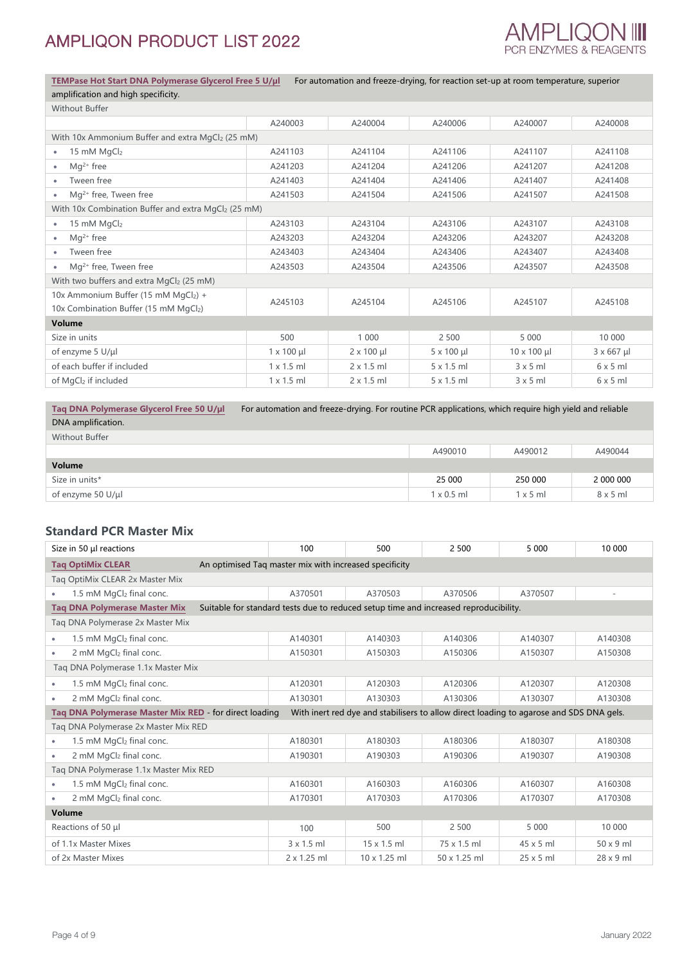

**[TEMPase Hot Start DNA Polymerase Glycerol Free 5 U/µl](http://ampliqon.com/en/products/pcr-enzymes/hot-start/tempase-hot-start-dna-polymerase-glycerol-free/)** For automation and freeze-drying, for reaction set-up at room temperature, superior amplification and high specificity.

| <b>Without Buffer</b>                               |                   |                    |                    |                     |                   |  |  |
|-----------------------------------------------------|-------------------|--------------------|--------------------|---------------------|-------------------|--|--|
|                                                     | A240003           | A240004            | A240006            | A240007             | A240008           |  |  |
| With 10x Ammonium Buffer and extra MgCl2 (25 mM)    |                   |                    |                    |                     |                   |  |  |
| 15 mM MgCl2                                         | A241103           | A241104            | A241106            | A241107             | A241108           |  |  |
| $Mq^{2+}$ free                                      | A241203           | A241204            | A241206            | A241207             | A241208           |  |  |
| Tween free                                          | A241403           | A241404            | A241406            | A241407             | A241408           |  |  |
| Mg <sup>2+</sup> free, Tween free                   | A241503           | A241504            | A241506            | A241507             | A241508           |  |  |
| With 10x Combination Buffer and extra MgCl2 (25 mM) |                   |                    |                    |                     |                   |  |  |
| 15 mM MgCl2                                         | A243103           | A243104            | A243106            | A243107             | A243108           |  |  |
| $Mq^{2+}$ free<br>٠                                 | A243203           | A243204            | A243206            | A243207             | A243208           |  |  |
| Tween free                                          | A243403           | A243404            | A243406            | A243407             | A243408           |  |  |
| Mg <sup>2+</sup> free, Tween free                   | A243503           | A243504            | A243506            | A243507             | A243508           |  |  |
| With two buffers and extra MgCl2 (25 mM)            |                   |                    |                    |                     |                   |  |  |
| 10x Ammonium Buffer (15 mM MgCl2) +                 | A245103           | A245104            | A245106            | A245107             | A245108           |  |  |
| 10x Combination Buffer (15 mM MgCl2)                |                   |                    |                    |                     |                   |  |  |
| Volume                                              |                   |                    |                    |                     |                   |  |  |
| Size in units                                       | 500               | 1 0 0 0            | 2 500              | 5 0 0 0             | 10 000            |  |  |
| of enzyme 5 U/µl                                    | $1 \times 100$ µl | $2 \times 100 \mu$ | $5 \times 100 \mu$ | $10 \times 100 \mu$ | $3 \times 667$ µl |  |  |
| of each buffer if included                          | $1 \times 1.5$ ml | $2 \times 1.5$ ml  | 5 x 1.5 ml         | 3x5ml               | 6x5ml             |  |  |
| of MgCl2 if included                                | $1 \times 1.5$ ml | $2 \times 1.5$ ml  | $5 \times 1.5$ ml  | 3x5ml               | $6 \times 5$ ml   |  |  |

**[Taq DNA Polymerase Glycerol Free 50](http://ampliqon.com/en/products/pcr-enzymes/taq/taq-dna-polymerase-glycerol-free/) U/µl** For automation and freeze-drying. For routine PCR applications, which require high yield and reliable

| Without Buffer    |                   |                 |                 |
|-------------------|-------------------|-----------------|-----------------|
|                   | A490010           | A490012         | A490044         |
| Volume            |                   |                 |                 |
| Size in units*    | 25 000            | 250 000         | 2 000 000       |
| of enzyme 50 U/µl | $1 \times 0.5$ ml | $1 \times 5$ ml | $8 \times 5$ ml |

#### **Standard PCR Master Mix**

| Size in 50 µl reactions                                | 100                                                                                  | 500                                                                                     | 2 500        | 5 0 0 0          | 10 000                   |  |  |
|--------------------------------------------------------|--------------------------------------------------------------------------------------|-----------------------------------------------------------------------------------------|--------------|------------------|--------------------------|--|--|
| <b>Taq OptiMix CLEAR</b>                               | An optimised Tag master mix with increased specificity                               |                                                                                         |              |                  |                          |  |  |
| Tag OptiMix CLEAR 2x Master Mix                        |                                                                                      |                                                                                         |              |                  |                          |  |  |
| 1.5 mM MgCl2 final conc.                               | A370501                                                                              | A370503                                                                                 | A370506      | A370507          | $\overline{\phantom{a}}$ |  |  |
| <b>Tag DNA Polymerase Master Mix</b>                   | Suitable for standard tests due to reduced setup time and increased reproducibility. |                                                                                         |              |                  |                          |  |  |
| Taq DNA Polymerase 2x Master Mix                       |                                                                                      |                                                                                         |              |                  |                          |  |  |
| 1.5 mM MgCl2 final conc.<br>$\bullet$                  | A140301                                                                              | A140303                                                                                 | A140306      | A140307          | A140308                  |  |  |
| 2 mM MgCl2 final conc.<br>$\bullet$                    | A150301                                                                              | A150303                                                                                 | A150306      | A150307          | A150308                  |  |  |
| Taq DNA Polymerase 1.1x Master Mix                     |                                                                                      |                                                                                         |              |                  |                          |  |  |
| 1.5 mM MgCl2 final conc.                               | A120301                                                                              | A120303                                                                                 | A120306      | A120307          | A120308                  |  |  |
| 2 mM MgCl2 final conc.<br>$\bullet$                    | A130301                                                                              | A130303                                                                                 | A130306      | A130307          | A130308                  |  |  |
| Tag DNA Polymerase Master Mix RED - for direct loading |                                                                                      | With inert red dye and stabilisers to allow direct loading to agarose and SDS DNA gels. |              |                  |                          |  |  |
| Tag DNA Polymerase 2x Master Mix RED                   |                                                                                      |                                                                                         |              |                  |                          |  |  |
| 1.5 mM MgCl2 final conc.                               | A180301                                                                              | A180303                                                                                 | A180306      | A180307          | A180308                  |  |  |
| 2 mM MgCl <sub>2</sub> final conc.<br>٠                | A190301                                                                              | A190303                                                                                 | A190306      | A190307          | A190308                  |  |  |
| Tag DNA Polymerase 1.1x Master Mix RED                 |                                                                                      |                                                                                         |              |                  |                          |  |  |
| 1.5 mM MgCl <sub>2</sub> final conc.<br>$\bullet$      | A160301                                                                              | A160303                                                                                 | A160306      | A160307          | A160308                  |  |  |
| 2 mM MgCl2 final conc.                                 | A170301                                                                              | A170303                                                                                 | A170306      | A170307          | A170308                  |  |  |
| Volume                                                 |                                                                                      |                                                                                         |              |                  |                          |  |  |
| Reactions of 50 µl                                     | 100                                                                                  | 500                                                                                     | 2 5 0 0      | 5 0 0 0          | 10 000                   |  |  |
| of 1.1x Master Mixes                                   | $3 \times 1.5$ ml                                                                    | $15 \times 1.5$ ml                                                                      | 75 x 1.5 ml  | $45 \times 5$ ml | $50 \times 9$ ml         |  |  |
| of 2x Master Mixes                                     | 2 x 1.25 ml                                                                          | 10 x 1.25 ml                                                                            | 50 x 1.25 ml | $25 \times 5$ ml | $28 \times 9$ ml         |  |  |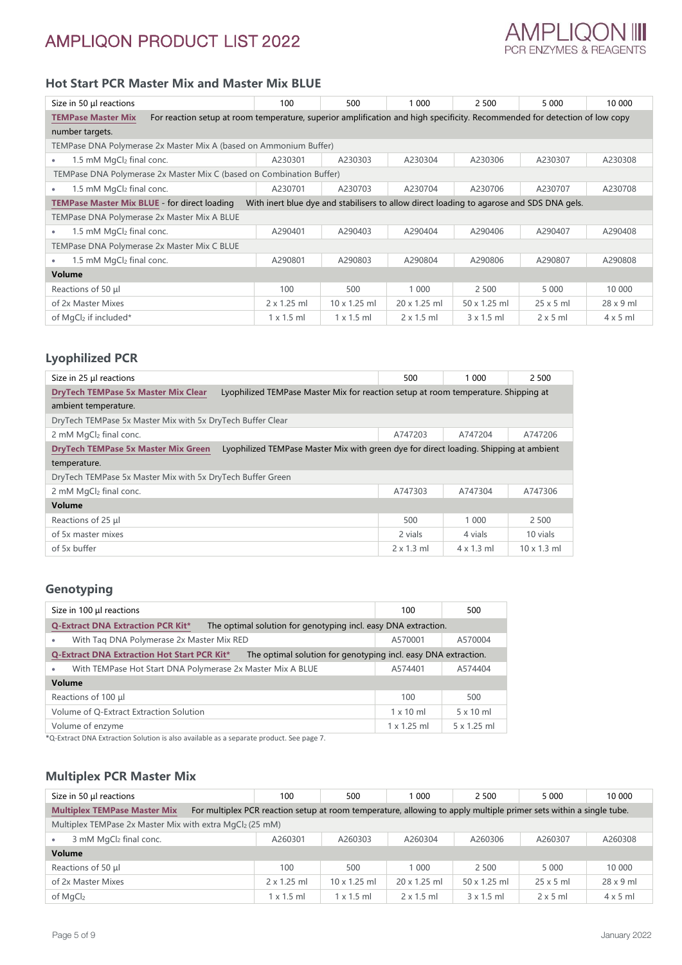

### **Hot Start PCR Master Mix and Master Mix BLUE**

| Size in 50 µl reactions                                                                                                                                 | 100                | 500                 | 1 0 0 0                                                                                  | 2 500             | 5 0 0 0          | 10 000           |  |
|---------------------------------------------------------------------------------------------------------------------------------------------------------|--------------------|---------------------|------------------------------------------------------------------------------------------|-------------------|------------------|------------------|--|
| For reaction setup at room temperature, superior amplification and high specificity. Recommended for detection of low copy<br><b>TEMPase Master Mix</b> |                    |                     |                                                                                          |                   |                  |                  |  |
| number targets.                                                                                                                                         |                    |                     |                                                                                          |                   |                  |                  |  |
| TEMPase DNA Polymerase 2x Master Mix A (based on Ammonium Buffer)                                                                                       |                    |                     |                                                                                          |                   |                  |                  |  |
| 1.5 mM MgCl2 final conc.<br>$\bullet$                                                                                                                   | A230301            | A230303             | A230304                                                                                  | A230306           | A230307          | A230308          |  |
| TEMPase DNA Polymerase 2x Master Mix C (based on Combination Buffer)                                                                                    |                    |                     |                                                                                          |                   |                  |                  |  |
| 1.5 mM $MqCl2$ final conc.<br>$\bullet$                                                                                                                 | A230701            | A230703             | A230704                                                                                  | A230706           | A230707          | A230708          |  |
| <b>TEMPase Master Mix BLUE - for direct loading</b>                                                                                                     |                    |                     | With inert blue dye and stabilisers to allow direct loading to agarose and SDS DNA gels. |                   |                  |                  |  |
| TEMPase DNA Polymerase 2x Master Mix A BLUE                                                                                                             |                    |                     |                                                                                          |                   |                  |                  |  |
| 1.5 mM MgCl <sub>2</sub> final conc.<br>$\bullet$                                                                                                       | A290401            | A290403             | A290404                                                                                  | A290406           | A290407          | A290408          |  |
| TEMPase DNA Polymerase 2x Master Mix C BLUE                                                                                                             |                    |                     |                                                                                          |                   |                  |                  |  |
| 1.5 mM $MgCl2$ final conc.<br>$\bullet$                                                                                                                 | A290801            | A290803             | A290804                                                                                  | A290806           | A290807          | A290808          |  |
| Volume                                                                                                                                                  |                    |                     |                                                                                          |                   |                  |                  |  |
| Reactions of 50 µl                                                                                                                                      | 100                | 500                 | 1 0 0 0                                                                                  | 2 500             | 5 0 0 0          | 10 000           |  |
| of 2x Master Mixes                                                                                                                                      | $2 \times 1.25$ ml | $10 \times 1.25$ ml | $20 \times 1.25$ ml                                                                      | 50 x 1.25 ml      | $25 \times 5$ ml | $28 \times 9$ ml |  |
| of MgCl <sub>2</sub> if included*                                                                                                                       | $1 \times 1.5$ ml  | $1 \times 1.5$ ml   | $2 \times 1.5$ ml                                                                        | $3 \times 1.5$ ml | $2 \times 5$ ml  | $4 \times 5$ ml  |  |

#### **Lyophilized PCR**

| Size in 25 µl reactions                                    | 500<br>2 500<br>1 000                                                                 |                   |                   |                    |  |  |
|------------------------------------------------------------|---------------------------------------------------------------------------------------|-------------------|-------------------|--------------------|--|--|
| <b>DryTech TEMPase 5x Master Mix Clear</b>                 | Lyophilized TEMPase Master Mix for reaction setup at room temperature. Shipping at    |                   |                   |                    |  |  |
| ambient temperature.                                       |                                                                                       |                   |                   |                    |  |  |
| DryTech TEMPase 5x Master Mix with 5x DryTech Buffer Clear |                                                                                       |                   |                   |                    |  |  |
| 2 mM MgCl <sub>2</sub> final conc.                         |                                                                                       | A747203           | A747204           | A747206            |  |  |
| <b>DryTech TEMPase 5x Master Mix Green</b>                 | Lyophilized TEMPase Master Mix with green dye for direct loading. Shipping at ambient |                   |                   |                    |  |  |
| temperature.                                               |                                                                                       |                   |                   |                    |  |  |
| DryTech TEMPase 5x Master Mix with 5x DryTech Buffer Green |                                                                                       |                   |                   |                    |  |  |
| 2 mM MgCl2 final conc.                                     |                                                                                       | A747303           | A747304           | A747306            |  |  |
| Volume                                                     |                                                                                       |                   |                   |                    |  |  |
| Reactions of 25 µl                                         |                                                                                       | 500               | 1 0 0 0           | 2 500              |  |  |
| of 5x master mixes                                         |                                                                                       | 2 vials           | 4 vials           | 10 vials           |  |  |
| of 5x buffer                                               |                                                                                       | $2 \times 1.3$ ml | $4 \times 1.3$ ml | $10 \times 1.3$ ml |  |  |

## **Genotyping**

| Size in 100 µl reactions                                                                                      | 100                | 500              |  |  |  |  |
|---------------------------------------------------------------------------------------------------------------|--------------------|------------------|--|--|--|--|
| <b>Q-Extract DNA Extraction PCR Kit*</b><br>The optimal solution for genotyping incl. easy DNA extraction.    |                    |                  |  |  |  |  |
| With Tag DNA Polymerase 2x Master Mix RED<br>۰                                                                | A570001            | A570004          |  |  |  |  |
| Q-Extract DNA Extraction Hot Start PCR Kit*<br>The optimal solution for genotyping incl. easy DNA extraction. |                    |                  |  |  |  |  |
| With TEMPase Hot Start DNA Polymerase 2x Master Mix A BLUE<br>٠                                               | A574401            | A574404          |  |  |  |  |
| Volume                                                                                                        |                    |                  |  |  |  |  |
| Reactions of 100 µl                                                                                           | 100                | 500              |  |  |  |  |
| Volume of Q-Extract Extraction Solution                                                                       | $1 \times 10$ ml   | $5 \times 10$ ml |  |  |  |  |
| Volume of enzyme                                                                                              | $1 \times 1.25$ ml | 5 x 1.25 ml      |  |  |  |  |

\*Q-Extract DNA Extraction Solution is also available as a separate product. See page 7.

### **Multiplex PCR Master Mix**

| Size in 50 µl reactions                                                                                                                                   | 100                | 500               | 1 000             | 2 500               | 5 0 0 0          | 10 000           |
|-----------------------------------------------------------------------------------------------------------------------------------------------------------|--------------------|-------------------|-------------------|---------------------|------------------|------------------|
| <b>Multiplex TEMPase Master Mix</b><br>For multiplex PCR reaction setup at room temperature, allowing to apply multiple primer sets within a single tube. |                    |                   |                   |                     |                  |                  |
| Multiplex TEMPase 2x Master Mix with extra MgCl2 (25 mM)                                                                                                  |                    |                   |                   |                     |                  |                  |
| 3 mM MgCl <sub>2</sub> final conc.                                                                                                                        | A260301            | A260303           | A260304           | A260306             | A260307          | A260308          |
| <b>Volume</b>                                                                                                                                             |                    |                   |                   |                     |                  |                  |
| Reactions of 50 µl                                                                                                                                        | 100                | 500               | 1 0 0 0           | 2 500               | 5 0 0 0          | 10 000           |
| of 2x Master Mixes                                                                                                                                        | $2 \times 1.25$ ml | 10 x 1.25 ml      | 20 x 1.25 ml      | $50 \times 1.25$ ml | $25 \times 5$ ml | $28 \times 9$ ml |
| of MgCl2                                                                                                                                                  | $1 \times 1.5$ ml  | $1 \times 1.5$ ml | $2 \times 1.5$ ml | $3 \times 1.5$ ml   | $2 \times 5$ ml  | $4 \times 5$ ml  |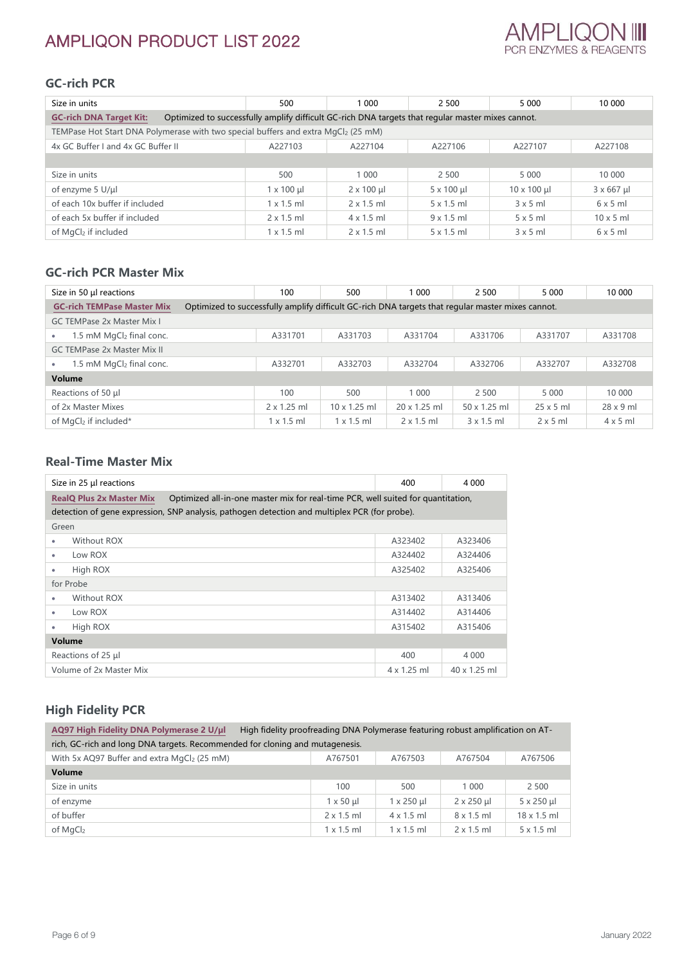## **GC-rich PCR**

| Size in units                                                                                                                       | 500               | 1 000             | 2 500             | 5 0 0 0             | 10 000            |  |
|-------------------------------------------------------------------------------------------------------------------------------------|-------------------|-------------------|-------------------|---------------------|-------------------|--|
| <b>GC-rich DNA Target Kit:</b><br>Optimized to successfully amplify difficult GC-rich DNA targets that regular master mixes cannot. |                   |                   |                   |                     |                   |  |
| TEMPase Hot Start DNA Polymerase with two special buffers and extra MgCl <sub>2</sub> (25 mM)                                       |                   |                   |                   |                     |                   |  |
| 4x GC Buffer I and 4x GC Buffer II                                                                                                  | A227103           | A227104           | A227106           | A227107             | A227108           |  |
|                                                                                                                                     |                   |                   |                   |                     |                   |  |
| Size in units                                                                                                                       | 500               | 1 0 0 0           | 2 500             | 5 0 0 0             | 10 000            |  |
| of enzyme $5 \text{ U}/\mu$                                                                                                         | $1 \times 100$ µ  | $2 \times 100$ µl | $5 \times 100$ µl | $10 \times 100 \mu$ | $3 \times 667$ µl |  |
| of each 10x buffer if included                                                                                                      | $1 \times 1.5$ ml | $2 \times 1.5$ ml | $5 \times 1.5$ ml | $3 \times 5$ ml     | 6x5m              |  |
| of each 5x buffer if included                                                                                                       | $2 \times 1.5$ ml | $4 \times 1.5$ ml | $9 \times 1.5$ ml | $5 \times 5$ ml     | $10 \times 5$ ml  |  |
| of MaCl <sub>2</sub> if included                                                                                                    | $1 \times 1.5$ ml | $2 \times 1.5$ ml | $5 \times 1.5$ ml | 3x5m                | 6x5m              |  |

### **GC-rich PCR Master Mix**

| Size in 50 µl reactions                                                                                                                | 100                | 500                 | 1 000             | 2 500               | 5 0 0 0          | 10 000           |
|----------------------------------------------------------------------------------------------------------------------------------------|--------------------|---------------------|-------------------|---------------------|------------------|------------------|
| <b>GC-rich TEMPase Master Mix</b><br>Optimized to successfully amplify difficult GC-rich DNA targets that regular master mixes cannot. |                    |                     |                   |                     |                  |                  |
| <b>GC TEMPase 2x Master Mix I</b>                                                                                                      |                    |                     |                   |                     |                  |                  |
| 1.5 mM MgCl <sub>2</sub> final conc.                                                                                                   | A331701            | A331703             | A331704           | A331706             | A331707          | A331708          |
| <b>GC TEMPase 2x Master Mix II</b>                                                                                                     |                    |                     |                   |                     |                  |                  |
| 1.5 mM MgCl2 final conc.                                                                                                               | A332701            | A332703             | A332704           | A332706             | A332707          | A332708          |
| Volume                                                                                                                                 |                    |                     |                   |                     |                  |                  |
| Reactions of 50 µl                                                                                                                     | 100                | 500                 | 1 0 0 0           | 2 500               | 5 0 0 0          | 10 000           |
| of 2x Master Mixes                                                                                                                     | $2 \times 1.25$ ml | $10 \times 1.25$ ml | 20 x 1.25 ml      | $50 \times 1.25$ ml | $25 \times 5$ ml | $28 \times 9$ ml |
| of MgCl <sub>2</sub> if included*                                                                                                      | $x$ 1.5 ml         | $1 \times 1.5$ ml   | $2 \times 1.5$ ml | $3 \times 1.5$ ml   | $2 \times 5$ ml  | $4 \times 5$ m   |

### **Real-Time Master Mix**

| Size in 25 µl reactions                                                                                             | 400                | 4 0 0 0      |  |  |
|---------------------------------------------------------------------------------------------------------------------|--------------------|--------------|--|--|
| <b>RealO Plus 2x Master Mix</b><br>Optimized all-in-one master mix for real-time PCR, well suited for quantitation, |                    |              |  |  |
| detection of gene expression, SNP analysis, pathogen detection and multiplex PCR (for probe).                       |                    |              |  |  |
| Green                                                                                                               |                    |              |  |  |
| Without ROX<br>٠                                                                                                    | A323402            | A323406      |  |  |
| Low ROX<br>۰                                                                                                        | A324402            | A324406      |  |  |
| High ROX<br>۰                                                                                                       | A325402            | A325406      |  |  |
| for Probe                                                                                                           |                    |              |  |  |
| Without ROX<br>۰                                                                                                    | A313402            | A313406      |  |  |
| Low ROX<br>۰                                                                                                        | A314402            | A314406      |  |  |
| High ROX<br>۰                                                                                                       | A315402            | A315406      |  |  |
| <b>Volume</b>                                                                                                       |                    |              |  |  |
| Reactions of 25 µl                                                                                                  | 400                | 4 0 0 0      |  |  |
| Volume of 2x Master Mix                                                                                             | $4 \times 1.25$ ml | 40 x 1.25 ml |  |  |

### **High Fidelity PCR**

| AQ97 High Fidelity DNA Polymerase 2 U/µl<br>High fidelity proofreading DNA Polymerase featuring robust amplification on AT-<br>rich, GC-rich and long DNA targets. Recommended for cloning and mutagenesis. |                   |                   |                   |                    |  |  |
|-------------------------------------------------------------------------------------------------------------------------------------------------------------------------------------------------------------|-------------------|-------------------|-------------------|--------------------|--|--|
| With 5x AQ97 Buffer and extra MgCl2 (25 mM)                                                                                                                                                                 | A767501           | A767503           | A767504           | A767506            |  |  |
| Volume                                                                                                                                                                                                      |                   |                   |                   |                    |  |  |
| Size in units                                                                                                                                                                                               | 100               | 500               | 1 0 0 0           | 2 500              |  |  |
| of enzyme                                                                                                                                                                                                   | $1 \times 50$ µ   | $1 \times 250$ µ  | $2 \times 250$ µl | $5 \times 250$ µl  |  |  |
| of buffer                                                                                                                                                                                                   | $2 \times 1.5$ ml | $4 \times 1.5$ ml | $8 \times 1.5$ ml | $18 \times 1.5$ ml |  |  |
| of MgCl <sub>2</sub>                                                                                                                                                                                        | $1 \times 1.5$ ml | $1 \times 1.5$ ml | $2 \times 1.5$ ml | $5 \times 1.5$ ml  |  |  |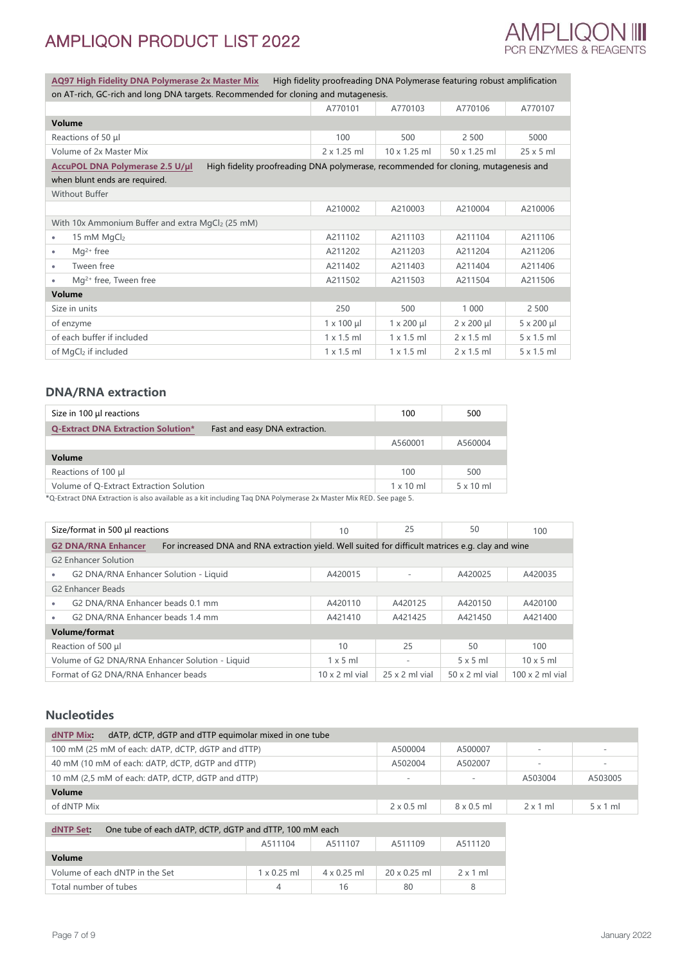

**AQ97 [High Fidelity DNA Polymerase 2x Master Mix](https://ampliqon.com/en/pcr-enzymes/pcr-enzymes/high-fidelity/aq97-high-fidelity-dna-polymerase-2x-master-mix/)** High fidelity proofreading DNA Polymerase featuring robust amplification on AT-rich, GC-rich and long DNA targets. Recommended for cloning and mutagenesis.

| <u>UITAT-HUI, UC-HUITAHU IUNG DIVA tahuttis. Necummented Tur Citimity and mutagenesis.</u>                             |                    |                      |                     |                      |  |  |
|------------------------------------------------------------------------------------------------------------------------|--------------------|----------------------|---------------------|----------------------|--|--|
|                                                                                                                        | A770101            | A770103              | A770106             | A770107              |  |  |
| Volume                                                                                                                 |                    |                      |                     |                      |  |  |
| Reactions of 50 µl                                                                                                     | 100                | 500                  | 2 500               | 5000                 |  |  |
| Volume of 2x Master Mix                                                                                                | $2 \times 1.25$ ml | $10 \times 1.25$ ml  | $50 \times 1.25$ ml | $25 \times 5$ ml     |  |  |
| High fidelity proofreading DNA polymerase, recommended for cloning, mutagenesis and<br>AccuPOL DNA Polymerase 2.5 U/µl |                    |                      |                     |                      |  |  |
| when blunt ends are required.                                                                                          |                    |                      |                     |                      |  |  |
| <b>Without Buffer</b>                                                                                                  |                    |                      |                     |                      |  |  |
|                                                                                                                        | A210002            | A210003              | A210004             | A210006              |  |  |
| With 10x Ammonium Buffer and extra MgCl2 (25 mM)                                                                       |                    |                      |                     |                      |  |  |
| 15 mM $MqCl2$<br>$\bullet$                                                                                             | A211102            | A211103              | A211104             | A211106              |  |  |
| $Mq^{2+}$ free<br>$\bullet$                                                                                            | A211202            | A211203              | A211204             | A211206              |  |  |
| Tween free<br>٠                                                                                                        | A211402            | A211403              | A211404             | A211406              |  |  |
| $Mq^{2+}$ free, Tween free<br>٠                                                                                        | A211502            | A211503              | A211504             | A211506              |  |  |
| <b>Volume</b>                                                                                                          |                    |                      |                     |                      |  |  |
| Size in units                                                                                                          | 250                | 500                  | 1 000               | 2 500                |  |  |
| of enzyme                                                                                                              | $1 \times 100 \mu$ | $1 \times 200 \mu l$ | $2 \times 200$ µl   | $5 \times 200 \mu l$ |  |  |
| of each buffer if included                                                                                             | $1 \times 1.5$ ml  | $1 \times 1.5$ ml    | $2 \times 1.5$ ml   | $5 \times 1.5$ ml    |  |  |
| of MgCl <sub>2</sub> if included                                                                                       | $1 \times 1.5$ ml  | $1 \times 1.5$ ml    | $2 \times 1.5$ ml   | $5 \times 1.5$ ml    |  |  |

#### **DNA/RNA extraction**

| Size in 100 $\mu$ I reactions                                              | 100              | 500              |
|----------------------------------------------------------------------------|------------------|------------------|
| <b>Q-Extract DNA Extraction Solution*</b><br>Fast and easy DNA extraction. |                  |                  |
|                                                                            | A560001          | A560004          |
| Volume                                                                     |                  |                  |
| Reactions of 100 µl                                                        | 100              | 500              |
| Volume of Q-Extract Extraction Solution                                    | $1 \times 10$ ml | $5 \times 10$ ml |

\*Q-Extract DNA Extraction is also available as a kit including Taq DNA Polymerase 2x Master Mix RED. See page 5.

|                                                                                                                                 | Size/format in 500 µl reactions                 | 10                    | 25                    | 50                    | 100                    |  |
|---------------------------------------------------------------------------------------------------------------------------------|-------------------------------------------------|-----------------------|-----------------------|-----------------------|------------------------|--|
| <b>G2 DNA/RNA Enhancer</b><br>For increased DNA and RNA extraction yield. Well suited for difficult matrices e.g. clay and wine |                                                 |                       |                       |                       |                        |  |
|                                                                                                                                 | <b>G2 Enhancer Solution</b>                     |                       |                       |                       |                        |  |
| ٠                                                                                                                               | G2 DNA/RNA Enhancer Solution - Liquid           | A420015               |                       | A420025               | A420035                |  |
| <b>G2 Enhancer Beads</b>                                                                                                        |                                                 |                       |                       |                       |                        |  |
|                                                                                                                                 | G2 DNA/RNA Enhancer beads 0.1 mm                | A420110               | A420125               | A420150               | A420100                |  |
|                                                                                                                                 | G2 DNA/RNA Enhancer beads 1.4 mm                | A421410               | A421425               | A421450               | A421400                |  |
| <b>Volume/format</b>                                                                                                            |                                                 |                       |                       |                       |                        |  |
|                                                                                                                                 | Reaction of 500 µl                              | 10                    | 25                    | 50                    | 100                    |  |
|                                                                                                                                 | Volume of G2 DNA/RNA Enhancer Solution - Liquid | $1 \times 5$ ml       |                       | $5 \times 5$ ml       | $10 \times 5$ ml       |  |
|                                                                                                                                 | Format of G2 DNA/RNA Enhancer beads             | $10 \times 2$ ml vial | $25 \times 2$ ml vial | $50 \times 2$ ml vial | $100 \times 2$ ml vial |  |

#### **Nucleotides**

| dATP, dCTP, dGTP and dTTP equimolar mixed in one tube<br>dNTP Mix   |         |         |                          |                          |                 |                          |
|---------------------------------------------------------------------|---------|---------|--------------------------|--------------------------|-----------------|--------------------------|
| 100 mM (25 mM of each: dATP, dCTP, dGTP and dTTP)                   |         |         | A500004                  | A500007                  |                 | $\overline{\phantom{a}}$ |
| 40 mM (10 mM of each: dATP, dCTP, dGTP and dTTP)                    |         |         | A502004                  | A502007                  |                 | $\overline{\phantom{a}}$ |
| 10 mM (2.5 mM of each: dATP, dCTP, dGTP and dTTP)                   |         |         | $\overline{\phantom{a}}$ | $\overline{\phantom{0}}$ | A503004         | A503005                  |
| <b>Volume</b>                                                       |         |         |                          |                          |                 |                          |
| of dNTP Mix                                                         |         |         | $2 \times 0.5$ ml        | $8 \times 0.5$ ml        | $2 \times 1$ ml | 5x1ml                    |
|                                                                     |         |         |                          |                          |                 |                          |
| One tube of each dATP, dCTP, dGTP and dTTP, 100 mM each<br>dNTP Set |         |         |                          |                          |                 |                          |
|                                                                     | A511104 | A511107 | A511109                  | A511120                  |                 |                          |
| Val <sub>n</sub>                                                    |         |         |                          |                          |                 |                          |

| Volume                         |                    |                    |                     |                 |
|--------------------------------|--------------------|--------------------|---------------------|-----------------|
| Volume of each dNTP in the Set | $1 \times 0.25$ ml | $4 \times 0.25$ ml | $20 \times 0.25$ ml | $2 \times 1$ ml |
| Total number of tubes          |                    | 16                 | 80                  |                 |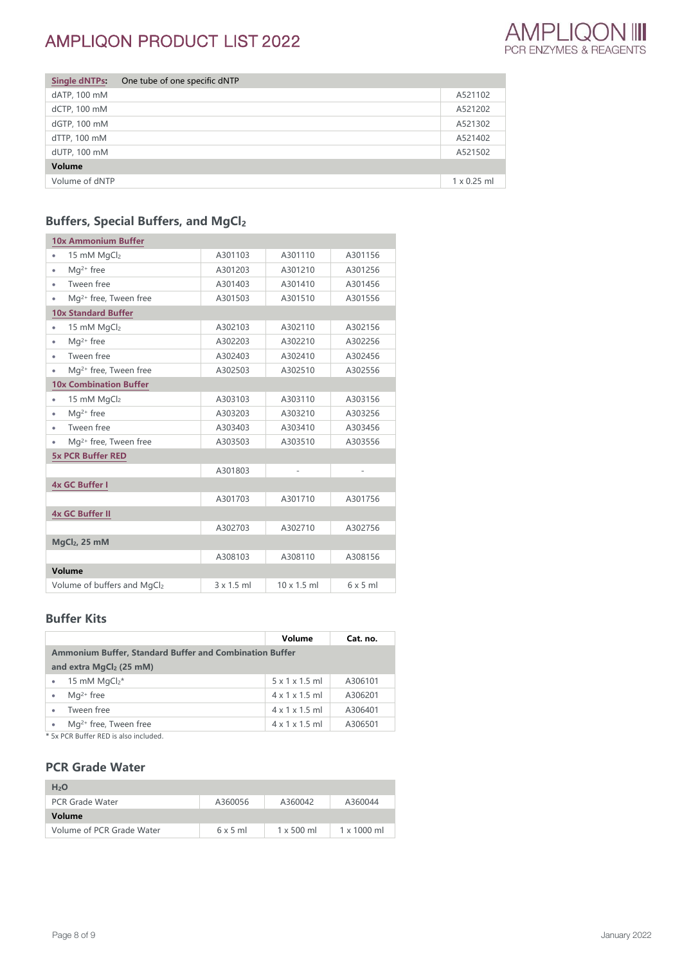

| <b>Single dNTPs:</b> | One tube of one specific dNTP |                    |
|----------------------|-------------------------------|--------------------|
| dATP, 100 mM         |                               | A521102            |
| dCTP, 100 mM         |                               | A521202            |
| dGTP, 100 mM         |                               | A521302            |
| dTTP, 100 mM         |                               | A521402            |
| dUTP, 100 mM         |                               | A521502            |
| Volume               |                               |                    |
| Volume of dNTP       |                               | $1 \times 0.25$ ml |

## **Buffers, Special Buffers, and MgCl<sup>2</sup>**

| <b>10x Ammonium Buffer</b>             |                   |                    |                |
|----------------------------------------|-------------------|--------------------|----------------|
| 15 mM MgCl2<br>۰                       | A301103           | A301110            | A301156        |
| Mq <sup>2+</sup> free<br>۰             | A301203           | A301210            | A301256        |
| Tween free<br>٠                        | A301403           | A301410            | A301456        |
| Mg <sup>2+</sup> free, Tween free<br>۰ | A301503           | A301510            | A301556        |
| <b>10x Standard Buffer</b>             |                   |                    |                |
| 15 mM MgCl2<br>۰                       | A302103           | A302110            | A302156        |
| Mg <sup>2+</sup> free<br>٠             | A302203           | A302210            | A302256        |
| Tween free<br>٠                        | A302403           | A302410            | A302456        |
| Mg <sup>2+</sup> free, Tween free<br>۰ | A302503           | A302510            | A302556        |
| <b>10x Combination Buffer</b>          |                   |                    |                |
| 15 mM MgCl2<br>٠                       | A303103           | A303110            | A303156        |
| Mq <sup>2+</sup> free                  | A303203           | A303210            | A303256        |
| Tween free                             | A303403           | A303410            | A303456        |
| Mg <sup>2+</sup> free, Tween free<br>۰ | A303503           | A303510            | A303556        |
| <b>5x PCR Buffer RED</b>               |                   |                    |                |
|                                        | A301803           | $\overline{a}$     | $\overline{a}$ |
| <b>4x GC Buffer I</b>                  |                   |                    |                |
|                                        | A301703           | A301710            | A301756        |
| <b>4x GC Buffer II</b>                 |                   |                    |                |
|                                        | A302703           | A302710            | A302756        |
| $MqCl2$ , 25 mM                        |                   |                    |                |
|                                        | A308103           | A308110            | A308156        |
| Volume                                 |                   |                    |                |
| Volume of buffers and MgCl2            | $3 \times 1.5$ ml | $10 \times 1.5$ ml | $6 \times 5$ m |

#### **Buffer Kits**

|                                                                | Volume                     | Cat. no. |  |  |  |
|----------------------------------------------------------------|----------------------------|----------|--|--|--|
| <b>Ammonium Buffer, Standard Buffer and Combination Buffer</b> |                            |          |  |  |  |
| and extra MgCl <sub>2</sub> (25 mM)                            |                            |          |  |  |  |
| 15 mM $MqCl2*$                                                 | 5x1x1.5m                   | A306101  |  |  |  |
| $Ma^{2+}$ free<br>٠                                            | $4 \times 1 \times 1.5$ ml | A306201  |  |  |  |
| Tween free<br>٠                                                | $4 \times 1 \times 1.5$ ml | A306401  |  |  |  |
| Mg <sup>2+</sup> free, Tween free                              | $4 \times 1 \times 1.5$ ml | A306501  |  |  |  |
| $*$ Funded buffer profit that is shall deal                    |                            |          |  |  |  |

\* 5x PCR Buffer RED is also included.

#### **PCR Grade Water**

| H <sub>2</sub> O          |         |                   |                    |
|---------------------------|---------|-------------------|--------------------|
| <b>PCR Grade Water</b>    | A360056 | A360042           | A360044            |
| Volume                    |         |                   |                    |
| Volume of PCR Grade Water | 6x5m    | $1 \times 500$ ml | $1 \times 1000$ ml |